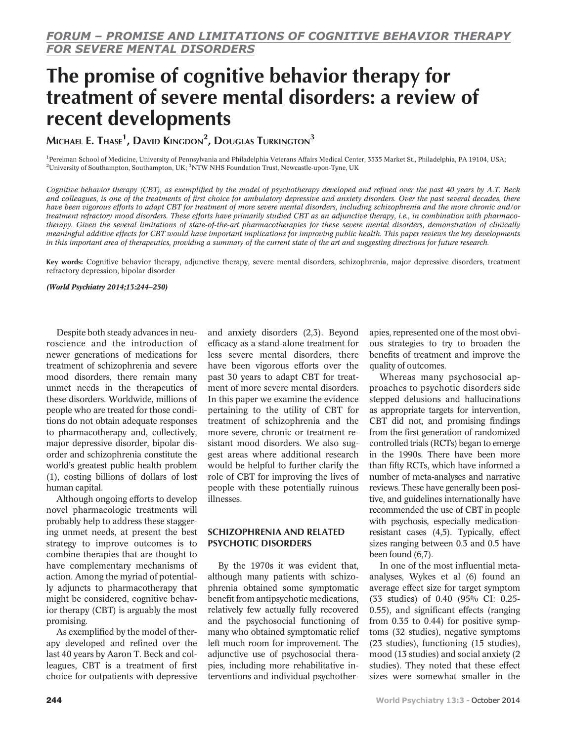# The promise of cognitive behavior therapy for treatment of severe mental disorders: a review of recent developments

Michael E. Thase $^1$ , David Kingdon $^2$ , Douglas Turkington $^3$ 

<sup>1</sup>Perelman School of Medicine, University of Pennsylvania and Philadelphia Veterans Affairs Medical Center, 3535 Market St., Philadelphia, PA 19104, USA; <sup>2</sup>University of Southampton, Southampton, UK; <sup>3</sup>NTW NHS Foundation Trust, Newcastle-upon-Tyne, UK

Cognitive behavior therapy (CBT), as exemplified by the model of psychotherapy developed and refined over the past 40 years by A.T. Beck and colleagues, is one of the treatments of first choice for ambulatory depressive and anxiety disorders. Over the past several decades, there have been vigorous efforts to adapt CBT for treatment of more severe mental disorders, including schizophrenia and the more chronic and/or treatment refractory mood disorders. These efforts have primarily studied CBT as an adjunctive therapy, i.e., in combination with pharmacotherapy. Given the several limitations of state-of-the-art pharmacotherapies for these severe mental disorders, demonstration of clinically meaningful additive effects for CBT would have important implications for improving public health. This paper reviews the key developments in this important area of therapeutics, providing a summary of the current state of the art and suggesting directions for future research.

Key words: Cognitive behavior therapy, adjunctive therapy, severe mental disorders, schizophrenia, major depressive disorders, treatment refractory depression, bipolar disorder

#### (World Psychiatry 2014;13:244–250)

Despite both steady advances in neuroscience and the introduction of newer generations of medications for treatment of schizophrenia and severe mood disorders, there remain many unmet needs in the therapeutics of these disorders. Worldwide, millions of people who are treated for those conditions do not obtain adequate responses to pharmacotherapy and, collectively, major depressive disorder, bipolar disorder and schizophrenia constitute the world's greatest public health problem (1), costing billions of dollars of lost human capital.

Although ongoing efforts to develop novel pharmacologic treatments will probably help to address these staggering unmet needs, at present the best strategy to improve outcomes is to combine therapies that are thought to have complementary mechanisms of action. Among the myriad of potentially adjuncts to pharmacotherapy that might be considered, cognitive behavior therapy (CBT) is arguably the most promising.

As exemplified by the model of therapy developed and refined over the last 40 years by Aaron T. Beck and colleagues, CBT is a treatment of first choice for outpatients with depressive

and anxiety disorders (2,3). Beyond efficacy as a stand-alone treatment for less severe mental disorders, there have been vigorous efforts over the past 30 years to adapt CBT for treatment of more severe mental disorders. In this paper we examine the evidence pertaining to the utility of CBT for treatment of schizophrenia and the more severe, chronic or treatment resistant mood disorders. We also suggest areas where additional research would be helpful to further clarify the role of CBT for improving the lives of people with these potentially ruinous illnesses.

## SCHIZOPHRENIA AND RELATED PSYCHOTIC DISORDERS

By the 1970s it was evident that, although many patients with schizophrenia obtained some symptomatic benefit from antipsychotic medications, relatively few actually fully recovered and the psychosocial functioning of many who obtained symptomatic relief left much room for improvement. The adjunctive use of psychosocial therapies, including more rehabilitative interventions and individual psychother-

apies, represented one of the most obvious strategies to try to broaden the benefits of treatment and improve the quality of outcomes.

Whereas many psychosocial approaches to psychotic disorders side stepped delusions and hallucinations as appropriate targets for intervention, CBT did not, and promising findings from the first generation of randomized controlled trials (RCTs) began to emerge in the 1990s. There have been more than fifty RCTs, which have informed a number of meta-analyses and narrative reviews. These have generally been positive, and guidelines internationally have recommended the use of CBT in people with psychosis, especially medicationresistant cases (4,5). Typically, effect sizes ranging between 0.3 and 0.5 have been found (6,7).

In one of the most influential metaanalyses, Wykes et al (6) found an average effect size for target symptom (33 studies) of 0.40 (95% CI: 0.25- 0.55), and significant effects (ranging from 0.35 to 0.44) for positive symptoms (32 studies), negative symptoms (23 studies), functioning (15 studies), mood (13 studies) and social anxiety (2 studies). They noted that these effect sizes were somewhat smaller in the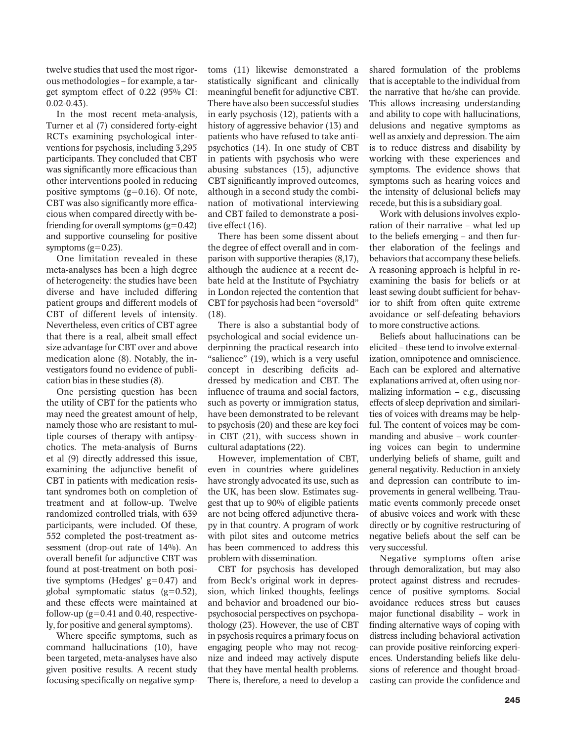twelve studies that used the most rigorous methodologies – for example, a target symptom effect of 0.22 (95% CI: 0.02-0.43).

In the most recent meta-analysis, Turner et al (7) considered forty-eight RCTs examining psychological interventions for psychosis, including 3,295 participants. They concluded that CBT was significantly more efficacious than other interventions pooled in reducing positive symptoms  $(g=0.16)$ . Of note, CBT was also significantly more efficacious when compared directly with befriending for overall symptoms  $(g=0.42)$ and supportive counseling for positive symptoms  $(g=0.23)$ .

One limitation revealed in these meta-analyses has been a high degree of heterogeneity: the studies have been diverse and have included differing patient groups and different models of CBT of different levels of intensity. Nevertheless, even critics of CBT agree that there is a real, albeit small effect size advantage for CBT over and above medication alone (8). Notably, the investigators found no evidence of publication bias in these studies (8).

One persisting question has been the utility of CBT for the patients who may need the greatest amount of help, namely those who are resistant to multiple courses of therapy with antipsychotics. The meta-analysis of Burns et al (9) directly addressed this issue, examining the adjunctive benefit of CBT in patients with medication resistant syndromes both on completion of treatment and at follow-up. Twelve randomized controlled trials, with 639 participants, were included. Of these, 552 completed the post-treatment assessment (drop-out rate of 14%). An overall benefit for adjunctive CBT was found at post-treatment on both positive symptoms (Hedges'  $g=0.47$ ) and global symptomatic status  $(g=0.52)$ , and these effects were maintained at follow-up ( $g=0.41$  and 0.40, respectively, for positive and general symptoms).

Where specific symptoms, such as command hallucinations (10), have been targeted, meta-analyses have also given positive results. A recent study focusing specifically on negative symptoms (11) likewise demonstrated a statistically significant and clinically meaningful benefit for adjunctive CBT. There have also been successful studies in early psychosis (12), patients with a history of aggressive behavior (13) and patients who have refused to take antipsychotics (14). In one study of CBT in patients with psychosis who were abusing substances (15), adjunctive CBT significantly improved outcomes, although in a second study the combination of motivational interviewing and CBT failed to demonstrate a positive effect (16).

There has been some dissent about the degree of effect overall and in comparison with supportive therapies (8,17), although the audience at a recent debate held at the Institute of Psychiatry in London rejected the contention that CBT for psychosis had been "oversold" (18).

There is also a substantial body of psychological and social evidence underpinning the practical research into "salience" (19), which is a very useful concept in describing deficits addressed by medication and CBT. The influence of trauma and social factors, such as poverty or immigration status, have been demonstrated to be relevant to psychosis (20) and these are key foci in CBT (21), with success shown in cultural adaptations (22).

However, implementation of CBT, even in countries where guidelines have strongly advocated its use, such as the UK, has been slow. Estimates suggest that up to 90% of eligible patients are not being offered adjunctive therapy in that country. A program of work with pilot sites and outcome metrics has been commenced to address this problem with dissemination.

CBT for psychosis has developed from Beck's original work in depression, which linked thoughts, feelings and behavior and broadened our biopsychosocial perspectives on psychopathology (23). However, the use of CBT in psychosis requires a primary focus on engaging people who may not recognize and indeed may actively dispute that they have mental health problems. There is, therefore, a need to develop a

shared formulation of the problems that is acceptable to the individual from the narrative that he/she can provide. This allows increasing understanding and ability to cope with hallucinations, delusions and negative symptoms as well as anxiety and depression. The aim is to reduce distress and disability by working with these experiences and symptoms. The evidence shows that symptoms such as hearing voices and the intensity of delusional beliefs may recede, but this is a subsidiary goal.

Work with delusions involves exploration of their narrative – what led up to the beliefs emerging – and then further elaboration of the feelings and behaviors that accompany these beliefs. A reasoning approach is helpful in reexamining the basis for beliefs or at least sewing doubt sufficient for behavior to shift from often quite extreme avoidance or self-defeating behaviors to more constructive actions.

Beliefs about hallucinations can be elicited – these tend to involve externalization, omnipotence and omniscience. Each can be explored and alternative explanations arrived at, often using normalizing information  $-$  e.g., discussing effects of sleep deprivation and similarities of voices with dreams may be helpful. The content of voices may be commanding and abusive – work countering voices can begin to undermine underlying beliefs of shame, guilt and general negativity. Reduction in anxiety and depression can contribute to improvements in general wellbeing. Traumatic events commonly precede onset of abusive voices and work with these directly or by cognitive restructuring of negative beliefs about the self can be very successful.

Negative symptoms often arise through demoralization, but may also protect against distress and recrudescence of positive symptoms. Social avoidance reduces stress but causes major functional disability – work in finding alternative ways of coping with distress including behavioral activation can provide positive reinforcing experiences. Understanding beliefs like delusions of reference and thought broadcasting can provide the confidence and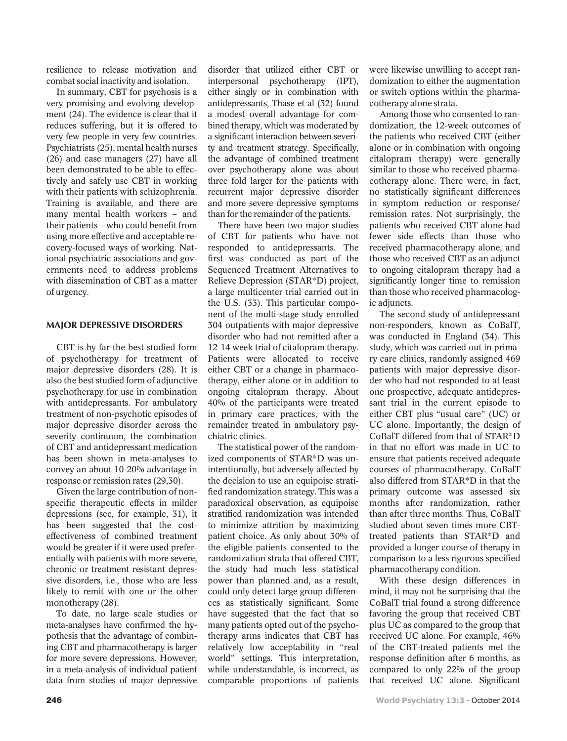resilience to release motivation and combat social inactivity and isolation.

In summary, CBT for psychosis is a very promising and evolving development (24). The evidence is clear that it reduces suffering, but it is offered to very few people in very few countries. Psychiatrists (25), mental health nurses (26) and case managers (27) have all been demonstrated to be able to effectively and safely use CBT in working with their patients with schizophrenia. Training is available, and there are many mental health workers – and their patients – who could benefit from using more effective and acceptable recovery-focused ways of working. National psychiatric associations and governments need to address problems with dissemination of CBT as a matter of urgency.

#### MAJOR DEPRESSIVE DISORDERS

CBT is by far the best-studied form of psychotherapy for treatment of major depressive disorders (28). It is also the best studied form of adjunctive psychotherapy for use in combination with antidepressants. For ambulatory treatment of non-psychotic episodes of major depressive disorder across the severity continuum, the combination of CBT and antidepressant medication has been shown in meta-analyses to convey an about 10-20% advantage in response or remission rates (29,30).

Given the large contribution of nonspecific therapeutic effects in milder depressions (see, for example, 31), it has been suggested that the costeffectiveness of combined treatment would be greater if it were used preferentially with patients with more severe, chronic or treatment resistant depressive disorders, i.e., those who are less likely to remit with one or the other monotherapy (28).

To date, no large scale studies or meta-analyses have confirmed the hypothesis that the advantage of combining CBT and pharmacotherapy is larger for more severe depressions. However, in a meta-analysis of individual patient data from studies of major depressive

disorder that utilized either CBT or interpersonal psychotherapy (IPT), either singly or in combination with antidepressants, Thase et al (32) found a modest overall advantage for combined therapy, which was moderated by a significant interaction between severity and treatment strategy. Specifically, the advantage of combined treatment over psychotherapy alone was about three fold larger for the patients with recurrent major depressive disorder and more severe depressive symptoms than for the remainder of the patients.

There have been two major studies of CBT for patients who have not responded to antidepressants. The first was conducted as part of the Sequenced Treatment Alternatives to Relieve Depression (STAR\*D) project, a large multicenter trial carried out in the U.S. (33). This particular component of the multi-stage study enrolled 304 outpatients with major depressive disorder who had not remitted after a 12-14 week trial of citalopram therapy. Patients were allocated to receive either CBT or a change in pharmacotherapy, either alone or in addition to ongoing citalopram therapy. About 40% of the participants were treated in primary care practices, with the remainder treated in ambulatory psychiatric clinics.

The statistical power of the randomized components of STAR\*D was unintentionally, but adversely affected by the decision to use an equipoise stratified randomization strategy. This was a paradoxical observation, as equipoise stratified randomization was intended to minimize attrition by maximizing patient choice. As only about 30% of the eligible patients consented to the randomization strata that offered CBT, the study had much less statistical power than planned and, as a result, could only detect large group differences as statistically significant. Some have suggested that the fact that so many patients opted out of the psychotherapy arms indicates that CBT has relatively low acceptability in "real world" settings. This interpretation, while understandable, is incorrect, as comparable proportions of patients

were likewise unwilling to accept randomization to either the augmentation or switch options within the pharmacotherapy alone strata.

Among those who consented to randomization, the 12-week outcomes of the patients who received CBT (either alone or in combination with ongoing citalopram therapy) were generally similar to those who received pharmacotherapy alone. There were, in fact, no statistically significant differences in symptom reduction or response/ remission rates. Not surprisingly, the patients who received CBT alone had fewer side effects than those who received pharmacotherapy alone, and those who received CBT as an adjunct to ongoing citalopram therapy had a significantly longer time to remission than those who received pharmacologic adjuncts.

The second study of antidepressant non-responders, known as CoBalT, was conducted in England (34). This study, which was carried out in primary care clinics, randomly assigned 469 patients with major depressive disorder who had not responded to at least one prospective, adequate antidepressant trial in the current episode to either CBT plus "usual care" (UC) or UC alone. Importantly, the design of CoBalT differed from that of STAR\*D in that no effort was made in UC to ensure that patients received adequate courses of pharmacotherapy. CoBalT also differed from STAR\*D in that the primary outcome was assessed six months after randomization, rather than after three months. Thus, CoBalT studied about seven times more CBTtreated patients than STAR\*D and provided a longer course of therapy in comparison to a less rigorous specified pharmacotherapy condition.

With these design differences in mind, it may not be surprising that the CoBalT trial found a strong difference favoring the group that received CBT plus UC as compared to the group that received UC alone. For example, 46% of the CBT-treated patients met the response definition after 6 months, as compared to only 22% of the group that received UC alone. Significant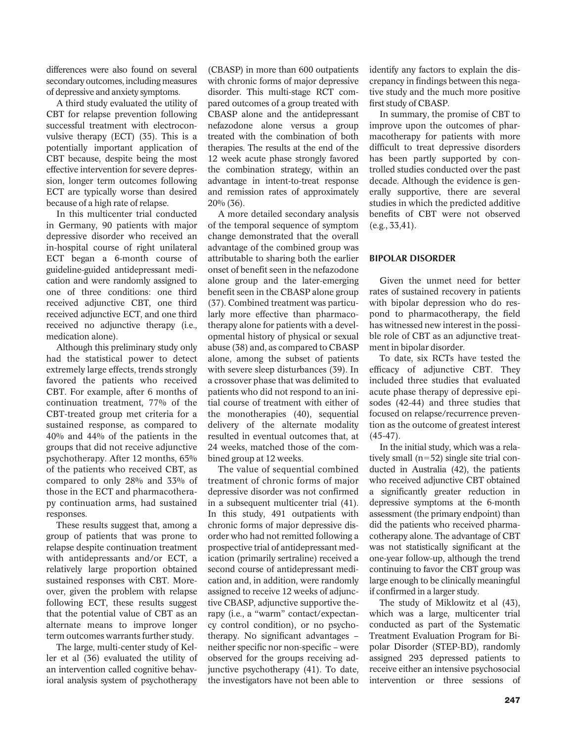differences were also found on several secondary outcomes, including measures of depressive and anxiety symptoms.

A third study evaluated the utility of CBT for relapse prevention following successful treatment with electroconvulsive therapy (ECT) (35). This is a potentially important application of CBT because, despite being the most effective intervention for severe depression, longer term outcomes following ECT are typically worse than desired because of a high rate of relapse.

In this multicenter trial conducted in Germany, 90 patients with major depressive disorder who received an in-hospital course of right unilateral ECT began a 6-month course of guideline-guided antidepressant medication and were randomly assigned to one of three conditions: one third received adjunctive CBT, one third received adjunctive ECT, and one third received no adjunctive therapy (i.e., medication alone).

Although this preliminary study only had the statistical power to detect extremely large effects, trends strongly favored the patients who received CBT. For example, after 6 months of continuation treatment, 77% of the CBT-treated group met criteria for a sustained response, as compared to 40% and 44% of the patients in the groups that did not receive adjunctive psychotherapy. After 12 months, 65% of the patients who received CBT, as compared to only 28% and 33% of those in the ECT and pharmacotherapy continuation arms, had sustained responses.

These results suggest that, among a group of patients that was prone to relapse despite continuation treatment with antidepressants and/or ECT, a relatively large proportion obtained sustained responses with CBT. Moreover, given the problem with relapse following ECT, these results suggest that the potential value of CBT as an alternate means to improve longer term outcomes warrants further study.

The large, multi-center study of Keller et al (36) evaluated the utility of an intervention called cognitive behavioral analysis system of psychotherapy

(CBASP) in more than 600 outpatients with chronic forms of major depressive disorder. This multi-stage RCT compared outcomes of a group treated with CBASP alone and the antidepressant nefazodone alone versus a group treated with the combination of both therapies. The results at the end of the 12 week acute phase strongly favored the combination strategy, within an advantage in intent-to-treat response and remission rates of approximately 20% (36).

A more detailed secondary analysis of the temporal sequence of symptom change demonstrated that the overall advantage of the combined group was attributable to sharing both the earlier onset of benefit seen in the nefazodone alone group and the later-emerging benefit seen in the CBASP alone group (37). Combined treatment was particularly more effective than pharmacotherapy alone for patients with a developmental history of physical or sexual abuse (38) and, as compared to CBASP alone, among the subset of patients with severe sleep disturbances (39). In a crossover phase that was delimited to patients who did not respond to an initial course of treatment with either of the monotherapies (40), sequential delivery of the alternate modality resulted in eventual outcomes that, at 24 weeks, matched those of the combined group at 12 weeks.

The value of sequential combined treatment of chronic forms of major depressive disorder was not confirmed in a subsequent multicenter trial (41). In this study, 491 outpatients with chronic forms of major depressive disorder who had not remitted following a prospective trial of antidepressant medication (primarily sertraline) received a second course of antidepressant medication and, in addition, were randomly assigned to receive 12 weeks of adjunctive CBASP, adjunctive supportive therapy (i.e., a "warm" contact/expectancy control condition), or no psychotherapy. No significant advantages – neither specific nor non-specific – were observed for the groups receiving adjunctive psychotherapy (41). To date, the investigators have not been able to

identify any factors to explain the discrepancy in findings between this negative study and the much more positive first study of CBASP.

In summary, the promise of CBT to improve upon the outcomes of pharmacotherapy for patients with more difficult to treat depressive disorders has been partly supported by controlled studies conducted over the past decade. Although the evidence is generally supportive, there are several studies in which the predicted additive benefits of CBT were not observed (e.g., 33,41).

## BIPOLAR DISORDER

Given the unmet need for better rates of sustained recovery in patients with bipolar depression who do respond to pharmacotherapy, the field has witnessed new interest in the possible role of CBT as an adjunctive treatment in bipolar disorder.

To date, six RCTs have tested the efficacy of adjunctive CBT. They included three studies that evaluated acute phase therapy of depressive episodes (42-44) and three studies that focused on relapse/recurrence prevention as the outcome of greatest interest (45-47).

In the initial study, which was a relatively small  $(n=52)$  single site trial conducted in Australia (42), the patients who received adjunctive CBT obtained a significantly greater reduction in depressive symptoms at the 6-month assessment (the primary endpoint) than did the patients who received pharmacotherapy alone. The advantage of CBT was not statistically significant at the one-year follow-up, although the trend continuing to favor the CBT group was large enough to be clinically meaningful if confirmed in a larger study.

The study of Miklowitz et al (43), which was a large, multicenter trial conducted as part of the Systematic Treatment Evaluation Program for Bipolar Disorder (STEP-BD), randomly assigned 293 depressed patients to receive either an intensive psychosocial intervention or three sessions of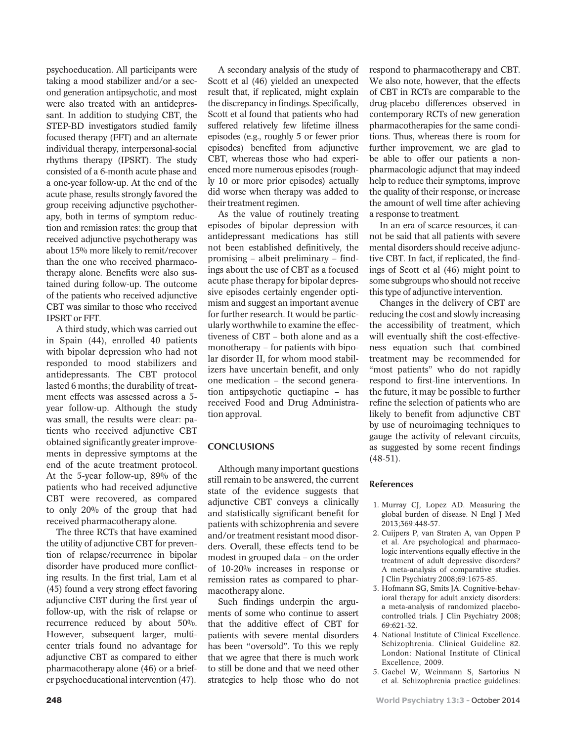psychoeducation. All participants were taking a mood stabilizer and/or a second generation antipsychotic, and most were also treated with an antidepressant. In addition to studying CBT, the STEP-BD investigators studied family focused therapy (FFT) and an alternate individual therapy, interpersonal-social rhythms therapy (IPSRT). The study consisted of a 6-month acute phase and a one-year follow-up. At the end of the acute phase, results strongly favored the group receiving adjunctive psychotherapy, both in terms of symptom reduction and remission rates: the group that received adjunctive psychotherapy was about 15% more likely to remit/recover than the one who received pharmacotherapy alone. Benefits were also sustained during follow-up. The outcome of the patients who received adjunctive CBT was similar to those who received IPSRT or FFT.

A third study, which was carried out in Spain (44), enrolled 40 patients with bipolar depression who had not responded to mood stabilizers and antidepressants. The CBT protocol lasted 6 months; the durability of treatment effects was assessed across a 5 year follow-up. Although the study was small, the results were clear: patients who received adjunctive CBT obtained significantly greater improvements in depressive symptoms at the end of the acute treatment protocol. At the 5-year follow-up, 89% of the patients who had received adjunctive CBT were recovered, as compared to only 20% of the group that had received pharmacotherapy alone.

The three RCTs that have examined the utility of adjunctive CBT for prevention of relapse/recurrence in bipolar disorder have produced more conflicting results. In the first trial, Lam et al (45) found a very strong effect favoring adjunctive CBT during the first year of follow-up, with the risk of relapse or recurrence reduced by about 50%. However, subsequent larger, multicenter trials found no advantage for adjunctive CBT as compared to either pharmacotherapy alone (46) or a briefer psychoeducational intervention (47).

A secondary analysis of the study of Scott et al (46) yielded an unexpected result that, if replicated, might explain the discrepancy in findings. Specifically, Scott et al found that patients who had suffered relatively few lifetime illness episodes (e.g., roughly 5 or fewer prior episodes) benefited from adjunctive CBT, whereas those who had experienced more numerous episodes (roughly 10 or more prior episodes) actually did worse when therapy was added to their treatment regimen.

As the value of routinely treating episodes of bipolar depression with antidepressant medications has still not been established definitively, the promising – albeit preliminary – findings about the use of CBT as a focused acute phase therapy for bipolar depressive episodes certainly engender optimism and suggest an important avenue for further research. It would be particularly worthwhile to examine the effectiveness of CBT – both alone and as a monotherapy – for patients with bipolar disorder II, for whom mood stabilizers have uncertain benefit, and only one medication – the second generation antipsychotic quetiapine – has received Food and Drug Administration approval.

# **CONCLUSIONS**

Although many important questions still remain to be answered, the current state of the evidence suggests that adjunctive CBT conveys a clinically and statistically significant benefit for patients with schizophrenia and severe and/or treatment resistant mood disorders. Overall, these effects tend to be modest in grouped data – on the order of 10-20% increases in response or remission rates as compared to pharmacotherapy alone.

Such findings underpin the arguments of some who continue to assert that the additive effect of CBT for patients with severe mental disorders has been "oversold". To this we reply that we agree that there is much work to still be done and that we need other strategies to help those who do not respond to pharmacotherapy and CBT. We also note, however, that the effects of CBT in RCTs are comparable to the drug-placebo differences observed in contemporary RCTs of new generation pharmacotherapies for the same conditions. Thus, whereas there is room for further improvement, we are glad to be able to offer our patients a nonpharmacologic adjunct that may indeed help to reduce their symptoms, improve the quality of their response, or increase the amount of well time after achieving a response to treatment.

In an era of scarce resources, it cannot be said that all patients with severe mental disorders should receive adjunctive CBT. In fact, if replicated, the findings of Scott et al (46) might point to some subgroups who should not receive this type of adjunctive intervention.

Changes in the delivery of CBT are reducing the cost and slowly increasing the accessibility of treatment, which will eventually shift the cost-effectiveness equation such that combined treatment may be recommended for "most patients" who do not rapidly respond to first-line interventions. In the future, it may be possible to further refine the selection of patients who are likely to benefit from adjunctive CBT by use of neuroimaging techniques to gauge the activity of relevant circuits, as suggested by some recent findings (48-51).

# References

- 1. Murray CJ, Lopez AD. Measuring the global burden of disease. N Engl J Med 2013;369:448-57.
- 2. Cuijpers P, van Straten A, van Oppen P et al. Are psychological and pharmacologic interventions equally effective in the treatment of adult depressive disorders? A meta-analysis of comparative studies. J Clin Psychiatry 2008;69:1675-85.
- 3. Hofmann SG, Smits JA. Cognitive-behavioral therapy for adult anxiety disorders: a meta-analysis of randomized placebocontrolled trials. J Clin Psychiatry 2008; 69:621-32.
- 4. National Institute of Clinical Excellence. Schizophrenia. Clinical Guideline 82. London: National Institute of Clinical Excellence, 2009.
- 5. Gaebel W, Weinmann S, Sartorius N et al. Schizophrenia practice guidelines: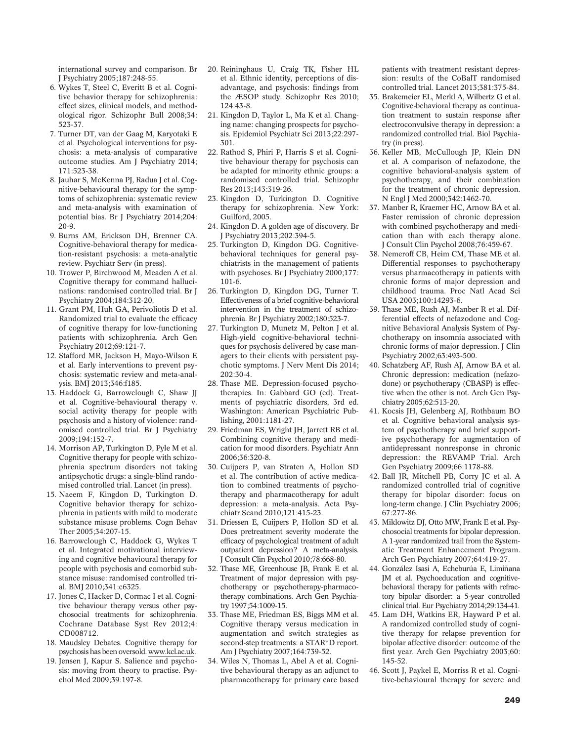international survey and comparison. Br J Psychiatry 2005;187:248-55.

- 6. Wykes T, Steel C, Everitt B et al. Cognitive behavior therapy for schizophrenia: effect sizes, clinical models, and methodological rigor. Schizophr Bull 2008;34: 523-37.
- 7. Turner DT, van der Gaag M, Karyotaki E et al. Psychological interventions for psychosis: a meta-analysis of comparative outcome studies. Am J Psychiatry 2014; 171:523-38.
- 8. Jauhar S, McKenna PJ, Radua J et al. Cognitive-behavioural therapy for the symptoms of schizophrenia: systematic review and meta-analysis with examination of potential bias. Br J Psychiatry 2014;204: 20-9.
- 9. Burns AM, Erickson DH, Brenner CA. Cognitive-behavioral therapy for medication-resistant psychosis: a meta-analytic review. Psychiatr Serv (in press).
- 10. Trower P, Birchwood M, Meaden A et al. Cognitive therapy for command hallucinations: randomised controlled trial. Br J Psychiatry 2004;184:312-20.
- 11. Grant PM, Huh GA, Perivoliotis D et al. Randomized trial to evaluate the efficacy of cognitive therapy for low-functioning patients with schizophrenia. Arch Gen Psychiatry 2012;69:121-7.
- 12. Stafford MR, Jackson H, Mayo-Wilson E et al. Early interventions to prevent psychosis: systematic review and meta-analysis. BMJ 2013;346:f185.
- 13. Haddock G, Barrowclough C, Shaw JJ et al. Cognitive-behavioural therapy v. social activity therapy for people with psychosis and a history of violence: randomised controlled trial. Br J Psychiatry 2009;194:152-7.
- 14. Morrison AP, Turkington D, Pyle M et al. Cognitive therapy for people with schizophrenia spectrum disorders not taking antipsychotic drugs: a single-blind randomised controlled trial. Lancet (in press).
- 15. Naeem F, Kingdon D, Turkington D. Cognitive behavior therapy for schizophrenia in patients with mild to moderate substance misuse problems. Cogn Behav Ther 2005;34:207-15.
- 16. Barrowclough C, Haddock G, Wykes T et al. Integrated motivational interviewing and cognitive behavioural therapy for people with psychosis and comorbid substance misuse: randomised controlled trial. BMJ 2010;341:c6325.
- 17. Jones C, Hacker D, Cormac I et al. Cognitive behaviour therapy versus other psychosocial treatments for schizophrenia. Cochrane Database Syst Rev 2012;4: CD008712.
- 18. Maudsley Debates. Cognitive therapy for psychosis has been oversold. [www.kcl.ac.uk.](http://www.kcl.ac.uk)
- 19. Jensen J, Kapur S. Salience and psychosis: moving from theory to practise. Psychol Med 2009;39:197-8.
- 20. Reininghaus U, Craig TK, Fisher HL et al. Ethnic identity, perceptions of disadvantage, and psychosis: findings from the ÆSOP study. Schizophr Res 2010; 124:43-8.
- 21. Kingdon D, Taylor L, Ma K et al. Changing name: changing prospects for psychosis. Epidemiol Psychiatr Sci 2013;22:297- 301.
- 22. Rathod S, Phiri P, Harris S et al. Cognitive behaviour therapy for psychosis can be adapted for minority ethnic groups: a randomised controlled trial. Schizophr Res 2013;143:319-26.
- 23. Kingdon D, Turkington D. Cognitive therapy for schizophrenia. New York: Guilford, 2005.
- 24. Kingdon D. A golden age of discovery. Br J Psychiatry 2013;202:394-5.
- 25. Turkington D, Kingdon DG. Cognitivebehavioral techniques for general psychiatrists in the management of patients with psychoses. Br J Psychiatry 2000;177: 101-6.
- 26. Turkington D, Kingdon DG, Turner T. Effectiveness of a brief cognitive-behavioral intervention in the treatment of schizophrenia. Br J Psychiatry 2002;180:523-7.
- 27. Turkington D, Munetz M, Pelton J et al. High-yield cognitive-behavioral techniques for psychosis delivered by case managers to their clients with persistent psychotic symptoms. J Nerv Ment Dis 2014;  $202.30 - 4$
- 28. Thase ME. Depression-focused psychotherapies. In: Gabbard GO (ed). Treatments of psychiatric disorders, 3rd ed. Washington: American Psychiatric Publishing, 2001:1181-27.
- 29. Friedman ES, Wright JH, Jarrett RB et al. Combining cognitive therapy and medication for mood disorders. Psychiatr Ann 2006;36:320-8.
- 30. Cuijpers P, van Straten A, Hollon SD et al. The contribution of active medication to combined treatments of psychotherapy and pharmacotherapy for adult depression: a meta-analysis. Acta Psychiatr Scand 2010;121:415-23.
- 31. Driessen E, Cuijpers P, Hollon SD et al. Does pretreatment severity moderate the efficacy of psychological treatment of adult outpatient depression? A meta-analysis. J Consult Clin Psychol 2010;78:668-80.
- 32. Thase ME, Greenhouse JB, Frank E et al. Treatment of major depression with psychotherapy or psychotherapy-pharmacotherapy combinations. Arch Gen Psychiatry 1997;54:1009-15.
- 33. Thase ME, Friedman ES, Biggs MM et al. Cognitive therapy versus medication in augmentation and switch strategies as second-step treatments: a STAR\*D report. Am J Psychiatry 2007;164:739-52.
- 34. Wiles N, Thomas L, Abel A et al. Cognitive behavioural therapy as an adjunct to pharmacotherapy for primary care based

patients with treatment resistant depression: results of the CoBalT randomised controlled trial. Lancet 2013;381:375-84.

- 35. Brakemeier EL, Merkl A, Wilbertz G et al. Cognitive-behavioral therapy as continuation treatment to sustain response after electroconvulsive therapy in depression: a randomized controlled trial. Biol Psychiatry (in press).
- 36. Keller MB, McCullough JP, Klein DN et al. A comparison of nefazodone, the cognitive behavioral-analysis system of psychotherapy, and their combination for the treatment of chronic depression. N Engl J Med 2000;342:1462-70.
- 37. Manber R, Kraemer HC, Arnow BA et al. Faster remission of chronic depression with combined psychotherapy and medication than with each therapy alone. J Consult Clin Psychol 2008;76:459-67.
- 38. Nemeroff CB, Heim CM, Thase ME et al. Differential responses to psychotherapy versus pharmacotherapy in patients with chronic forms of major depression and childhood trauma. Proc Natl Acad Sci USA 2003;100:14293-6.
- 39. Thase ME, Rush AJ, Manber R et al. Differential effects of nefazodone and Cognitive Behavioral Analysis System of Psychotherapy on insomnia associated with chronic forms of major depression. J Clin Psychiatry 2002;63:493-500.
- 40. Schatzberg AF, Rush AJ, Arnow BA et al. Chronic depression: medication (nefazodone) or psychotherapy (CBASP) is effective when the other is not. Arch Gen Psychiatry 2005;62:513-20.
- 41. Kocsis JH, Gelenberg AJ, Rothbaum BO et al. Cognitive behavioral analysis system of psychotherapy and brief supportive psychotherapy for augmentation of antidepressant nonresponse in chronic depression: the REVAMP Trial. Arch Gen Psychiatry 2009;66:1178-88.
- 42. Ball JR, Mitchell PB, Corry JC et al. A randomized controlled trial of cognitive therapy for bipolar disorder: focus on long-term change. J Clin Psychiatry 2006; 67:277-86.
- 43. Miklowitz DJ, Otto MW, Frank E et al. Psychosocial treatments for bipolar depression. A 1-year randomized trail from the Systematic Treatment Enhancement Program. Arch Gen Psychiatry 2007;64:419-27.
- 44. González Isasi A, Echeburúa E, Limiñana JM et al. Psychoeducation and cognitivebehavioral therapy for patients with refractory bipolar disorder: a 5-year controlled clinical trial. Eur Psychiatry 2014;29:134-41.
- 45. Lam DH, Watkins ER, Hayward P et al. A randomized controlled study of cognitive therapy for relapse prevention for bipolar affective disorder: outcome of the first year. Arch Gen Psychiatry 2003;60: 145-52.
- 46. Scott J, Paykel E, Morriss R et al. Cognitive-behavioural therapy for severe and